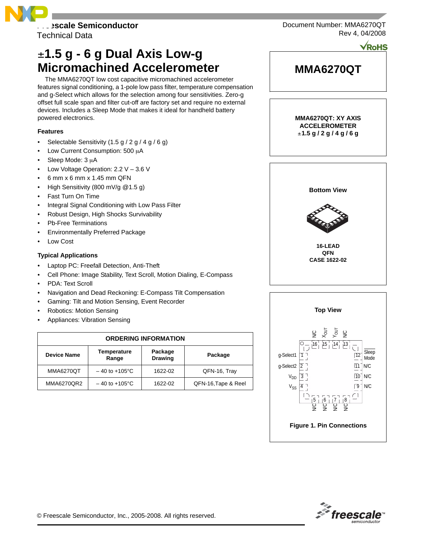

Technical Data

# ±**1.5 g - 6 g Dual Axis Low-g Micromachined Accelerometer**

The MMA6270QT low cost capacitive micromachined accelerometer features signal conditioning, a 1-pole low pass filter, temperature compensation and g-Select which allows for the selection among four sensitivities. Zero-g offset full scale span and filter cut-off are factory set and require no external devices. Includes a Sleep Mode that makes it ideal for handheld battery powered electronics.

# **Features**

- Selectable Sensitivity (1.5 g / 2 g / 4 g / 6 g)
- Low Current Consumption: 500 μA
- Sleep Mode: 3 μA
- Low Voltage Operation: 2.2 V 3.6 V
- 6 mm x 6 mm x 1.45 mm QFN
- High Sensitivity (800 mV/g @1.5 g)
- Fast Turn On Time
- Integral Signal Conditioning with Low Pass Filter
- Robust Design, High Shocks Survivability
- Pb-Free Terminations
- Environmentally Preferred Package
- Low Cost

# **Typical Applications**

- Laptop PC: Freefall Detection, Anti-Theft
- Cell Phone: Image Stability, Text Scroll, Motion Dialing, E-Compass
- PDA: Text Scroll
- Navigation and Dead Reckoning: E-Compass Tilt Compensation
- Gaming: Tilt and Motion Sensing, Event Recorder
- Robotics: Motion Sensing
- Appliances: Vibration Sensing

| <b>ORDERING INFORMATION</b>                                                               |                 |         |                     |  |  |
|-------------------------------------------------------------------------------------------|-----------------|---------|---------------------|--|--|
| Package<br><b>Temperature</b><br><b>Device Name</b><br>Package<br><b>Drawing</b><br>Range |                 |         |                     |  |  |
| <b>MMA6270QT</b>                                                                          | $-40$ to +105°C | 1622-02 | QFN-16, Tray        |  |  |
| MMA6270QR2                                                                                | $-40$ to +105°C | 1622-02 | QFN-16, Tape & Reel |  |  |

Document Number: MMA6270QT Rev 4, 04/2008

**RoHS** 

# **MMA6270QT**

**MMA6270QT: XY AXIS ACCELEROMETER** ±**1.5 g / 2 g / 4 g / 6 g**







© Freescale Semiconductor, Inc., 2005-2008. All rights reserved.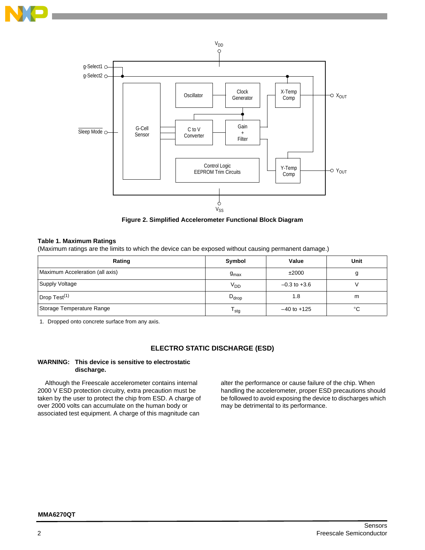



**Figure 2. Simplified Accelerometer Functional Block Diagram**

## **Table 1. Maximum Ratings**

(Maximum ratings are the limits to which the device can be exposed without causing permanent damage.)

| Rating                          | Symbol           | Value            | Unit |
|---------------------------------|------------------|------------------|------|
| Maximum Acceleration (all axis) | $g_{\text{max}}$ | ±2000            |      |
| <b>Supply Voltage</b>           | V <sub>DD</sub>  | $-0.3$ to $+3.6$ |      |
| Drop $Test(1)$                  | $D_{drop}$       | 1.8              | m    |
| Storage Temperature Range       | <sup>I</sup> stg | $-40$ to $+125$  | °C   |

1. Dropped onto concrete surface from any axis.

## **ELECTRO STATIC DISCHARGE (ESD)**

## **WARNING: This device is sensitive to electrostatic discharge.**

Although the Freescale accelerometer contains internal 2000 V ESD protection circuitry, extra precaution must be taken by the user to protect the chip from ESD. A charge of over 2000 volts can accumulate on the human body or associated test equipment. A charge of this magnitude can

alter the performance or cause failure of the chip. When handling the accelerometer, proper ESD precautions should be followed to avoid exposing the device to discharges which may be detrimental to its performance.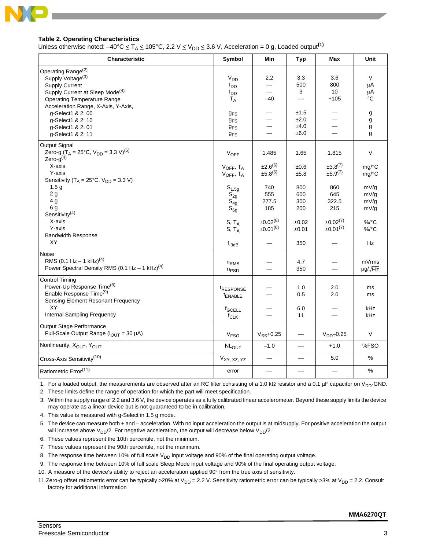

## **Table 2. Operating Characteristics**

Unless otherwise noted:  $-40^{\circ}C \leq T_A \leq 105^{\circ}C$ , 2.2 V  $\leq$  V<sub>DD</sub>  $\leq$  3.6 V, Acceleration = 0 g, Loaded output<sup>(1)</sup>

| Characteristic                                                                                                                                                                                                       | Symbol                                                                              | Min                                         | <b>Typ</b>                   | Max                                                  | Unit                                     |
|----------------------------------------------------------------------------------------------------------------------------------------------------------------------------------------------------------------------|-------------------------------------------------------------------------------------|---------------------------------------------|------------------------------|------------------------------------------------------|------------------------------------------|
| Operating Range <sup>(2)</sup><br>Supply Voltage <sup>(3)</sup><br><b>Supply Current</b><br>Supply Current at Sleep Mode <sup>(4)</sup><br><b>Operating Temperature Range</b><br>Acceleration Range, X-Axis, Y-Axis, | V <sub>DD</sub><br>$I_{DD}$<br><b>I</b> <sub>DD</sub><br>$T_A$                      | 2.2<br>$-40$                                | 3.3<br>500<br>3              | 3.6<br>800<br>10<br>$+105$                           | V<br>μA<br>μA<br>°C                      |
| g-Select1 & 2:00<br>g-Select1 & 2:10<br>g-Select1 & 2:01<br>g-Select1 & 2: 11                                                                                                                                        | <b>g<sub>FS</sub></b><br>$g_{FS}$<br><b>g<sub>FS</sub></b><br><b>g<sub>FS</sub></b> | $\overline{\phantom{0}}$                    | ±1.5<br>±2.0<br>±4.0<br>±6.0 | $\overline{\phantom{0}}$<br>$\overline{\phantom{0}}$ | g<br>g<br>g<br>g                         |
| Output Signal<br>Zero-g (T <sub>A</sub> = 25°C, V <sub>DD</sub> = 3.3 V) <sup>(5)</sup><br>Zero- $q^{(4)}$<br>X-axis<br>Y-axis<br>Sensitivity ( $T_A = 25^{\circ}$ C, $V_{DD} = 3.3$ V)                              | VOFF<br>$V_{OFF}$ , $T_A$<br>$V_{OFF}$ , $T_A$                                      | 1.485<br>$±2.6^{(6)}$<br>$±5.8^{(6)}$       | 1.65<br>±0.6<br>±5.8         | 1.815<br>$±3.8^{(7)}$<br>$±5.9^{(7)}$                | V<br>mg/°C<br>mg/°C                      |
| 1.5 <sub>g</sub><br>2g<br>4 <sub>g</sub><br>6g<br>Sensitivity <sup>(4)</sup><br>X-axis                                                                                                                               | $S_{1.5g}$<br>$S_{2g}$<br>$S_{4q}$<br>$S_{6q}$                                      | 740<br>555<br>277.5<br>185<br>$±0.02^{(6)}$ | 800<br>600<br>300<br>200     | 860<br>645<br>322.5<br>215<br>$\pm 0.02^{(7)}$       | mV/q<br>mV/g<br>mV/g<br>mV/g<br>$\%$ /°C |
| Y-axis<br><b>Bandwidth Response</b><br><b>XY</b>                                                                                                                                                                     | $S, T_A$<br>$S, T_A$<br>$f_{-3dB}$                                                  | $±0.01^{(6)}$                               | ±0.02<br>±0.01<br>350        | $±0.01^{(7)}$                                        | $\%$ /°C<br>Hz                           |
| Noise<br>RMS (0.1 Hz - 1 kHz) <sup>(4)</sup><br>Power Spectral Density RMS (0.1 Hz - 1 kHz) <sup>(4)</sup>                                                                                                           | $n_{RMS}$<br>$n_{PSD}$                                                              |                                             | 4.7<br>350                   |                                                      | mVrms<br>$\mu$ g/ $\sqrt{Hz}$            |
| <b>Control Timing</b><br>Power-Up Response Time <sup>(8)</sup><br>Enable Response Time <sup>(9)</sup><br>Sensing Element Resonant Frequency<br>XY                                                                    | t <sub>RESPONSE</sub><br><sup>t</sup> ENABLE                                        |                                             | 1.0<br>0.5                   | 2.0<br>2.0                                           | ms<br>ms                                 |
| Internal Sampling Frequency                                                                                                                                                                                          | <sup>f</sup> GCELL<br>$f_{CLK}$                                                     |                                             | 6.0<br>11                    |                                                      | kHz<br>kHz                               |
| Output Stage Performance<br>Full-Scale Output Range ( $I_{OUT}$ = 30 µA)                                                                                                                                             | V <sub>FSO</sub>                                                                    | $VSS+0.25$                                  |                              | $VDD - 0.25$                                         | V                                        |
| Nonlinearity, XOUT, YOUT                                                                                                                                                                                             | <b>NLOUT</b>                                                                        | $-1.0$                                      | $\overline{\phantom{0}}$     | $+1.0$                                               | %FSO                                     |
| Cross-Axis Sensitivity <sup>(10)</sup>                                                                                                                                                                               | V <sub>XY, XZ, YZ</sub>                                                             |                                             |                              | 5.0                                                  | $\%$                                     |
| Ratiometric Error <sup>(11)</sup>                                                                                                                                                                                    | error                                                                               | —                                           |                              | —                                                    | $\%$                                     |

1. For a loaded output, the measurements are observed after an RC filter consisting of a 1.0 kΩ resistor and a 0.1 µF capacitor on V<sub>DD</sub>-GND.

2. These limits define the range of operation for which the part will meet specification.

3. Within the supply range of 2.2 and 3.6 V, the device operates as a fully calibrated linear accelerometer. Beyond these supply limits the device may operate as a linear device but is not guaranteed to be in calibration.

- <span id="page-2-0"></span>4. This value is measured with g-Select in 1.5 g mode.
- 5. The device can measure both + and acceleration. With no input acceleration the output is at midsupply. For positive acceleration the output will increase above  $V_{DD}/2$ . For negative acceleration, the output will decrease below  $V_{DD}/2$ .
- <span id="page-2-1"></span>6. These values represent the 10th percentile, not the minimum.
- <span id="page-2-2"></span>7. These values represent the 90th percentile, not the maximum.
- 8. The response time between 10% of full scale  $V_{DD}$  input voltage and 90% of the final operating output voltage.
- 9. The response time between 10% of full scale Sleep Mode input voltage and 90% of the final operating output voltage.
- 10. A measure of the device's ability to reject an acceleration applied 90° from the true axis of sensitivity.
- 11.Zero-g offset ratiometric error can be typically >20% at V<sub>DD</sub> = 2.2 V. Sensitivity ratiometric error can be typically >3% at V<sub>DD</sub> = 2.2. Consult factory for additional information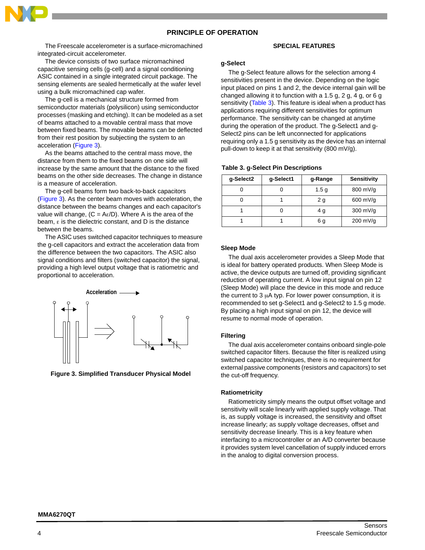## **PRINCIPLE OF OPERATION**

The Freescale accelerometer is a surface-micromachined integrated-circuit accelerometer.

The device consists of two surface micromachined capacitive sensing cells (g-cell) and a signal conditioning ASIC contained in a single integrated circuit package. The sensing elements are sealed hermetically at the wafer level using a bulk micromachined cap wafer.

The g-cell is a mechanical structure formed from semiconductor materials (polysilicon) using semiconductor processes (masking and etching). It can be modeled as a set of beams attached to a movable central mass that move between fixed beams. The movable beams can be deflected from their rest position by subjecting the system to an acceleration [\(Figure 3\)](#page-3-0).

As the beams attached to the central mass move, the distance from them to the fixed beams on one side will increase by the same amount that the distance to the fixed beams on the other side decreases. The change in distance is a measure of acceleration.

The g-cell beams form two back-to-back capacitors [\(Figure 3](#page-3-0)). As the center beam moves with acceleration, the distance between the beams changes and each capacitor's value will change,  $(C = Ae/D)$ . Where A is the area of the beam,  $\epsilon$  is the dielectric constant, and D is the distance between the beams.

The ASIC uses switched capacitor techniques to measure the g-cell capacitors and extract the acceleration data from the difference between the two capacitors. The ASIC also signal conditions and filters (switched capacitor) the signal, providing a high level output voltage that is ratiometric and proportional to acceleration.



<span id="page-3-0"></span>**Figure 3. Simplified Transducer Physical Model**

#### **SPECIAL FEATURES**

#### **g-Select**

The g-Select feature allows for the selection among 4 sensitivities present in the device. Depending on the logic input placed on pins 1 and 2, the device internal gain will be changed allowing it to function with a 1.5 g, 2 g, 4 g, or 6 g sensitivity ([Table 3\)](#page-3-1). This feature is ideal when a product has applications requiring different sensitivities for optimum performance. The sensitivity can be changed at anytime during the operation of the product. The g-Select1 and g-Select2 pins can be left unconnected for applications requiring only a 1.5 g sensitivity as the device has an internal pull-down to keep it at that sensitivity (800 mV/g).

#### <span id="page-3-1"></span>**Table 3. g-Select Pin Descriptions**

| g-Select2 | g-Select1 | g-Range          | Sensitivity        |
|-----------|-----------|------------------|--------------------|
|           |           | 1.5 <sub>g</sub> | 800 mV/g           |
|           |           | 2 g              | $600 \text{ mV/g}$ |
|           |           | 4 g              | 300 mV/g           |
|           |           | 6 g              | $200$ mV/g         |

#### **Sleep Mode**

The dual axis accelerometer provides a Sleep Mode that is ideal for battery operated products. When Sleep Mode is active, the device outputs are turned off, providing significant reduction of operating current. A low input signal on pin 12 (Sleep Mode) will place the device in this mode and reduce the current to 3 μA typ. For lower power consumption, it is recommended to set g-Select1 and g-Select2 to 1.5 g mode. By placing a high input signal on pin 12, the device will resume to normal mode of operation.

## **Filtering**

The dual axis accelerometer contains onboard single-pole switched capacitor filters. Because the filter is realized using switched capacitor techniques, there is no requirement for external passive components (resistors and capacitors) to set the cut-off frequency.

#### **Ratiometricity**

Ratiometricity simply means the output offset voltage and sensitivity will scale linearly with applied supply voltage. That is, as supply voltage is increased, the sensitivity and offset increase linearly; as supply voltage decreases, offset and sensitivity decrease linearly. This is a key feature when interfacing to a microcontroller or an A/D converter because it provides system level cancellation of supply induced errors in the analog to digital conversion process.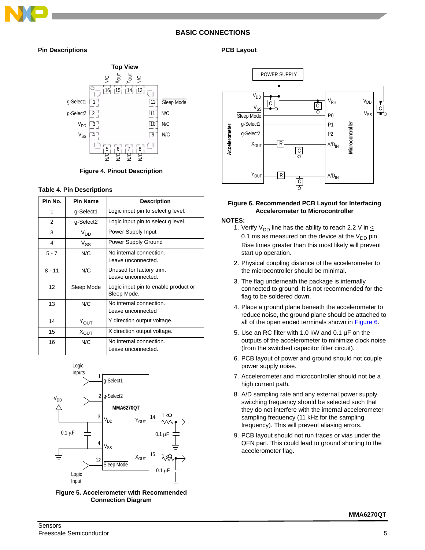

# **BASIC CONNECTIONS**

## **Pin Descriptions**



**Figure 4. Pinout Description**

## **Table 4. Pin Descriptions**

| Pin No.  | <b>Pin Name</b>  | <b>Description</b>                                  |
|----------|------------------|-----------------------------------------------------|
| 1        | g-Select1        | Logic input pin to select g level.                  |
| 2        | g-Select2        | Logic input pin to select g level.                  |
| 3        | V <sub>DD</sub>  | Power Supply Input                                  |
| 4        | $V_{SS}$         | Power Supply Ground                                 |
| $5 - 7$  | N/C              | No internal connection.<br>Leave unconnected.       |
| $8 - 11$ | N/C              | Unused for factory trim.<br>Leave unconnected.      |
| 12       | Sleep Mode       | Logic input pin to enable product or<br>Sleep Mode. |
| 13       | N/C              | No internal connection.<br>Leave unconnected        |
| 14       | Y <sub>OUT</sub> | Y direction output voltage.                         |
| 15       | <b>X</b> OUT     | X direction output voltage.                         |
| 16       | N/C              | No internal connection.<br>Leave unconnected.       |



**Figure 5. Accelerometer with Recommended Connection Diagram**

## **PCB Layout**



#### <span id="page-4-0"></span>**Figure 6. Recommended PCB Layout for Interfacing Accelerometer to Microcontroller**

#### **NOTES:**

- 1. Verify V<sub>DD</sub> line has the ability to reach 2.2 V in  $\leq$ 0.1 ms as measured on the device at the  $V_{DD}$  pin. Rise times greater than this most likely will prevent start up operation.
- 2. Physical coupling distance of the accelerometer to the microcontroller should be minimal.
- 3. The flag underneath the package is internally connected to ground. It is not recommended for the flag to be soldered down.
- 4. Place a ground plane beneath the accelerometer to reduce noise, the ground plane should be attached to all of the open ended terminals shown in [Figure 6](#page-4-0).
- 5. Use an RC filter with 1.0 kW and 0.1 µF on the outputs of the accelerometer to minimize clock noise (from the switched capacitor filter circuit).
- 6. PCB layout of power and ground should not couple power supply noise.
- 7. Accelerometer and microcontroller should not be a high current path.
- 8. A/D sampling rate and any external power supply switching frequency should be selected such that they do not interfere with the internal accelerometer sampling frequency (11 kHz for the sampling frequency). This will prevent aliasing errors.
- 9. PCB layout should not run traces or vias under the QFN part. This could lead to ground shorting to the accelerometer flag.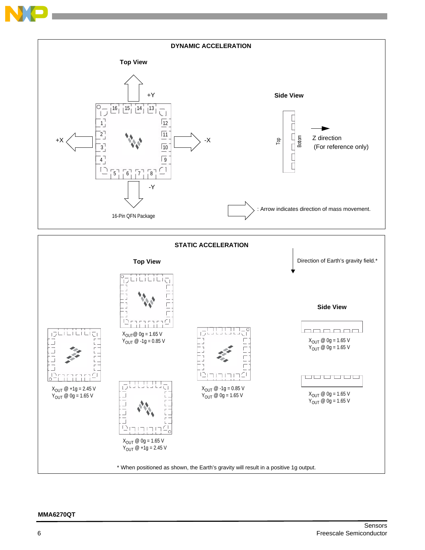



## **MMA6270QT**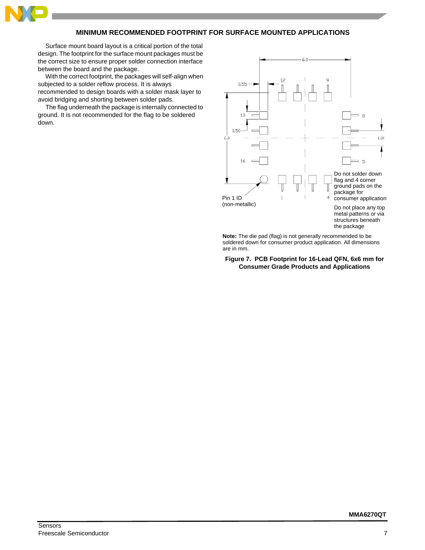

# **MINIMUM RECOMMENDED FOOTPRINT FOR SURFACE MOUNTED APPLICATIONS**

Surface mount board layout is a critical portion of the total design. The footprint for the surface mount packages must be the correct size to ensure proper solder connection interface between the board and the package.

With the correct footprint, the packages will self-align when subjected to a solder reflow process. It is always recommended to design boards with a solder mask layer to avoid bridging and shorting between solder pads.

The flag underneath the package is internally connected to ground. It is not recommended for the flag to be soldered down.



**Note:** The die pad (flag) is not generally recommended to be soldered down for consumer product application. All dimensions are in mm.

**Figure 7. PCB Footprint for 16-Lead QFN, 6x6 mm for Consumer Grade Products and Applications**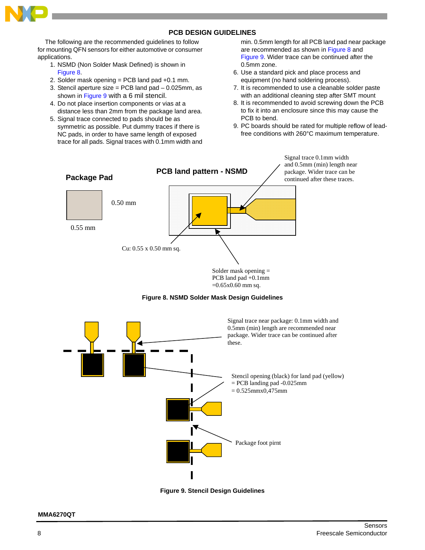

## **PCB DESIGN GUIDELINES**

The following are the recommended guidelines to follow for mounting QFN sensors for either automotive or consumer applications.

- 1. NSMD (Non Solder Mask Defined) is shown in Figure 8.
- 2. Solder mask opening = PCB land pad +0.1 mm.
- 3. Stencil aperture size = PCB land pad  $-$  0.025mm, as shown in Figure 9 with a 6 mil stencil.
- 4. Do not place insertion components or vias at a distance less than 2mm from the package land area.
- 5. Signal trace connected to pads should be as symmetric as possible. Put dummy traces if there is NC pads, in order to have same length of exposed trace for all pads. Signal traces with 0.1mm width and

min. 0.5mm length for all PCB land pad near package are recommended as shown in Figure 8 and Figure 9. Wider trace can be continued after the 0.5mm zone.

- 6. Use a standard pick and place process and equipment (no hand soldering process).
- 7. It is recommended to use a cleanable solder paste with an additional cleaning step after SMT mount
- 8. It is recommended to avoid screwing down the PCB to fix it into an enclosure since this may cause the PCB to bend.
- 9. PC boards should be rated for multiple reflow of leadfree conditions with 260°C maximum temperature.







**Figure 9. Stencil Design Guidelines**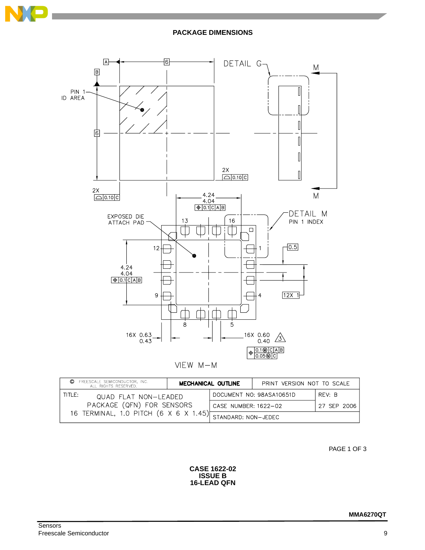

# **PACKAGE DIMENSIONS**



|        | FREESCALE SEMICONDUCTOR, INC.<br>ALL RIGHTS RESERVED. | MECHANICAL OUTLINE |                                   | PRINT VERSION NOT TO SCALE |             |  |
|--------|-------------------------------------------------------|--------------------|-----------------------------------|----------------------------|-------------|--|
| TITLE: | QUAD FLAT NON-LEADED                                  |                    |                                   | DOCUMENT NO: 98ASA10651D   | RFV: B      |  |
|        | PACKAGE (QFN) FOR SENSORS                             |                    | CASE NUMBER: 1622-02              |                            | 27 SEP 2006 |  |
|        | 16 TERMINAL, 1.0 PITCH (6 X 6 X 1.45)                 |                    | <sup>'I</sup> STANDARD: NON-JEDEC |                            |             |  |

PAGE 1 OF 3

**CASE 1622-02 ISSUE B 16-LEAD QFN**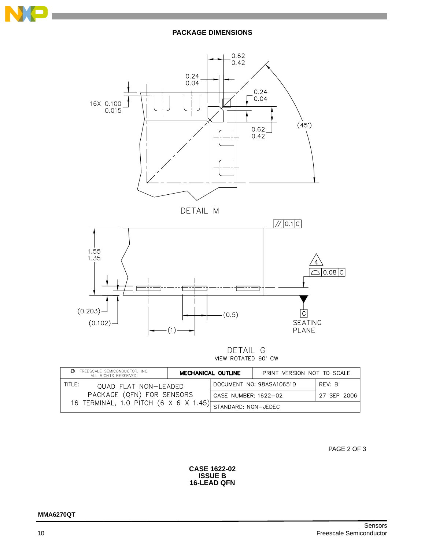

# **PACKAGE DIMENSIONS**



DETAIL G VIEW ROTATED 90' CW

| O      | FREESCALE SEMICONDUCTOR, INC.<br><b>MECHANICAL OUTLINE</b><br>ALL RIGHTS RESERVED. |  |                      | PRINT VERSION NOT TO SCALE |             |
|--------|------------------------------------------------------------------------------------|--|----------------------|----------------------------|-------------|
| TITLE: | QUAD FLAT NON-LEADED                                                               |  |                      | DOCUMENT NO: 98ASA10651D   | REV: B      |
|        | PACKAGE (QFN) FOR SENSORS                                                          |  | CASE NUMBER: 1622-02 |                            | 27 SEP 2006 |
|        | 16 TERMINAL, 1.0 PITCH (6 X 6 X 1.45)                                              |  | STANDARD: NON-JEDEC  |                            |             |

PAGE 2 OF 3

**CASE 1622-02 ISSUE B 16-LEAD QFN**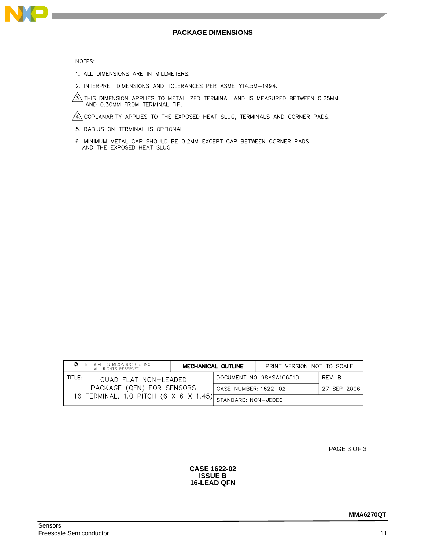

# **PACKAGE DIMENSIONS**

NOTES:

- 1. ALL DIMENSIONS ARE IN MILLMETERS.
- 2. INTERPRET DIMENSIONS AND TOLERANCES PER ASME Y14.5M-1994.
- $\frac{\sqrt{3}}{3}$  this dimension applies to metallized terminal and is measured between 0.25mm and 0.30mm from terminal tip.

 $\sqrt{4}$  coplanarity applies to the exposed heat slug, terminals and corner pads.

- 5. RADIUS ON TERMINAL IS OPTIONAL.
- 6. MINIMUM METAL GAP SHOULD BE 0.2MM EXCEPT GAP BETWEEN CORNER PADS AND THE EXPOSED HEAT SLUG.

| O      | FREESCALE SEMICONDUCTOR, INC.<br>MECHANICAL OUTLINE<br>ALL RIGHTS RESERVED. |  |                      | PRINT VERSION NOT TO SCALE |             |
|--------|-----------------------------------------------------------------------------|--|----------------------|----------------------------|-------------|
| TITLE: | QUAD FLAT NON-LEADED                                                        |  |                      | DOCUMENT NO: 98ASA10651D   | REV: B      |
|        | PACKAGE (QFN) FOR SENSORS                                                   |  | CASE NUMBER: 1622-02 |                            | 27 SEP 2006 |
|        | 16 TERMINAL, 1.0 PITCH (6 X 6 X 1.45)                                       |  | STANDARD: NON-JEDEC  |                            |             |

PAGE 3 OF 3

**CASE 1622-02 ISSUE B 16-LEAD QFN**